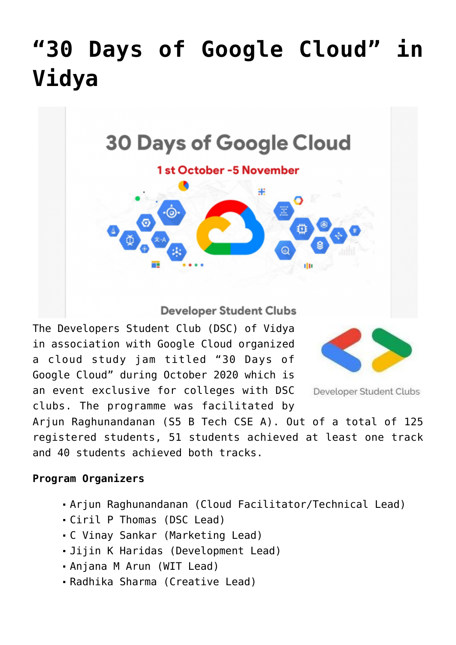## **["30 Days of Google Cloud" in](https://news.vidyaacademy.ac.in/2020/11/12/30-days-of-google-cloud-in-vidya/) [Vidya](https://news.vidyaacademy.ac.in/2020/11/12/30-days-of-google-cloud-in-vidya/)**



**Developer Student Clubs** 

The Developers Student Club (DSC) of Vidya in association with Google Cloud organized a cloud study jam titled "30 Days of Google Cloud" during October 2020 which is an event exclusive for colleges with DSC clubs. The programme was facilitated by



Developer Student Clubs

Arjun Raghunandanan (S5 B Tech CSE A). Out of a total of 125 registered students, 51 students achieved at least one track and 40 students achieved both tracks.

## **Program Organizers**

- Arjun Raghunandanan (Cloud Facilitator/Technical Lead)
- Ciril P Thomas (DSC Lead)
- C Vinay Sankar (Marketing Lead)
- Jijin K Haridas (Development Lead)
- Anjana M Arun (WIT Lead)
- Radhika Sharma (Creative Lead)